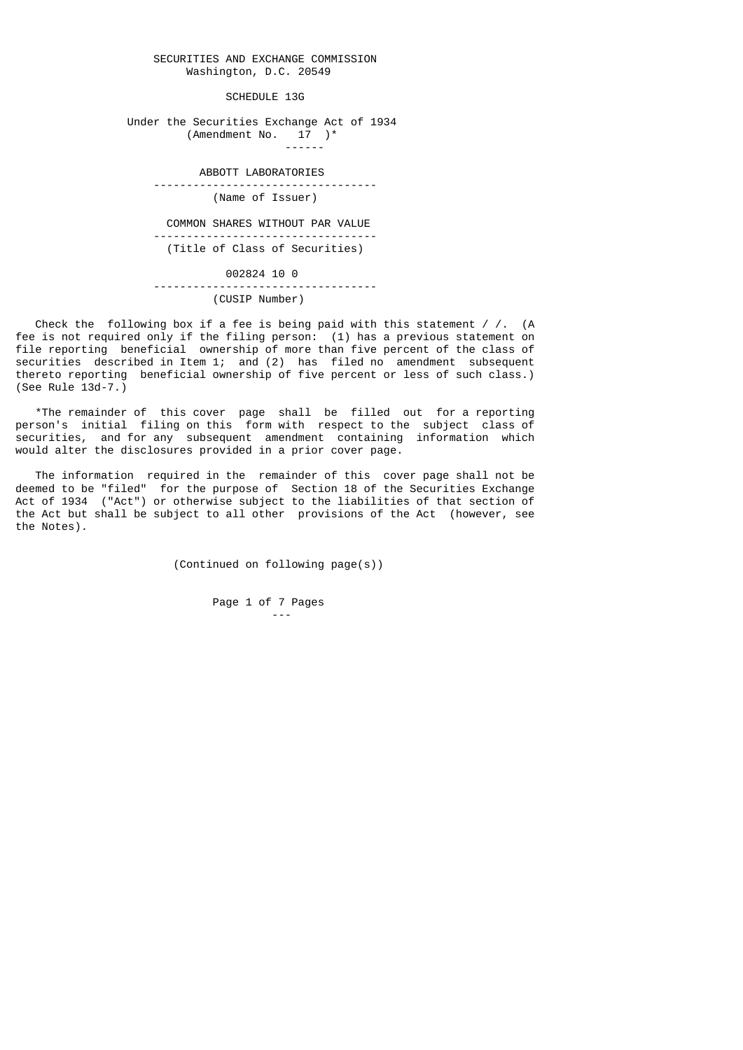#### SECURITIES AND EXCHANGE COMMISSION Washington, D.C. 20549

SCHEDULE 13G

 Under the Securities Exchange Act of 1934 (Amendment No.  $17$  )\*

------

ABBOTT LABORATORIES ----------------------------------

(Name of Issuer)

 COMMON SHARES WITHOUT PAR VALUE ---------------------------------- (Title of Class of Securities)

 002824 10 0 ---------------------------------- (CUSIP Number)

Check the following box if a fee is being paid with this statement / /.  $(A)$ fee is not required only if the filing person: (1) has a previous statement on file reporting beneficial ownership of more than five percent of the class of securities described in Item 1; and (2) has filed no amendment subsequent thereto reporting beneficial ownership of five percent or less of such class.) (See Rule 13d-7.)

 \*The remainder of this cover page shall be filled out for a reporting person's initial filing on this form with respect to the subject class of securities, and for any subsequent amendment containing information which would alter the disclosures provided in a prior cover page.

 The information required in the remainder of this cover page shall not be deemed to be "filed" for the purpose of Section 18 of the Securities Exchange Act of 1934 ("Act") or otherwise subject to the liabilities of that section of the Act but shall be subject to all other provisions of the Act (however, see the Notes).

(Continued on following page(s))

 Page 1 of 7 Pages ---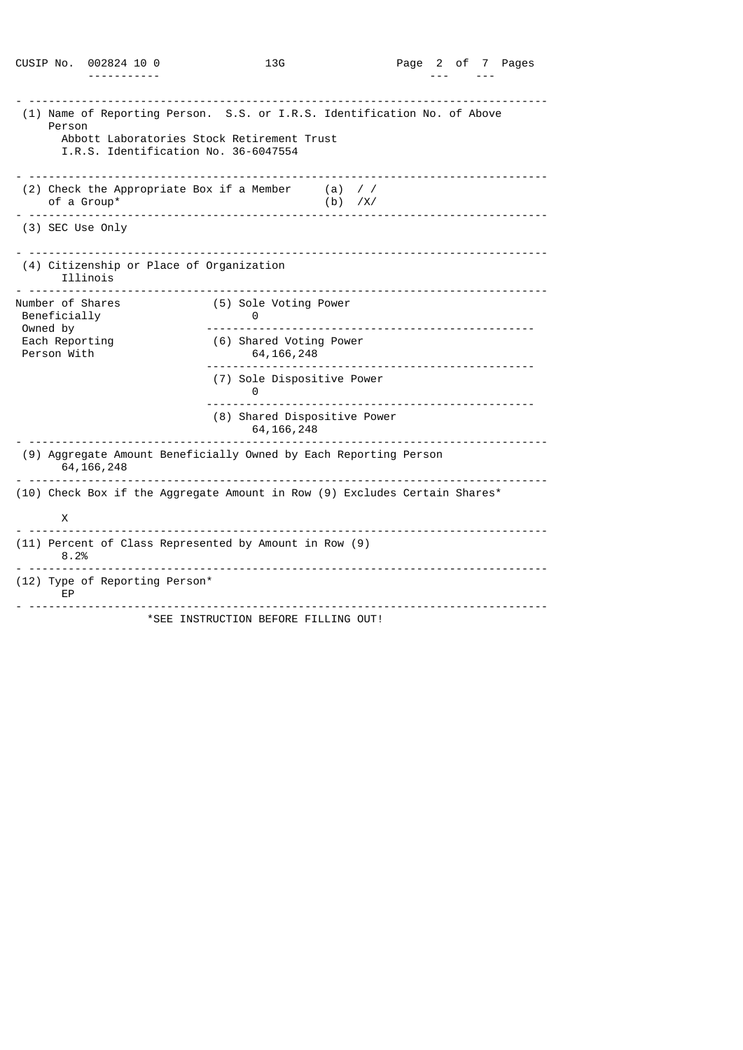| CUSIP No.                                                                              | 002824 10 0                                                           | 13G                                                                                                                    |                      | Page 2 of 7 Pages |  |  |
|----------------------------------------------------------------------------------------|-----------------------------------------------------------------------|------------------------------------------------------------------------------------------------------------------------|----------------------|-------------------|--|--|
|                                                                                        |                                                                       |                                                                                                                        |                      |                   |  |  |
| Person                                                                                 | I.R.S. Identification No. 36-6047554                                  | (1) Name of Reporting Person. S.S. or I.R.S. Identification No. of Above<br>Abbott Laboratories Stock Retirement Trust |                      |                   |  |  |
|                                                                                        |                                                                       |                                                                                                                        |                      |                   |  |  |
|                                                                                        | (2) Check the Appropriate Box if a Member<br>of a Group*<br>--------- |                                                                                                                        | (a) / /<br>$(b)$ /X/ |                   |  |  |
| (3) SEC Use Only                                                                       |                                                                       |                                                                                                                        |                      |                   |  |  |
|                                                                                        | (4) Citizenship or Place of Organization<br>Illinois                  |                                                                                                                        |                      |                   |  |  |
| Number of Shares<br>Beneficially<br>Owned by<br>Each Reporting<br>Person With          |                                                                       | (5) Sole Voting Power<br>0                                                                                             |                      |                   |  |  |
|                                                                                        |                                                                       | (6) Shared Voting Power<br>64, 166, 248                                                                                |                      |                   |  |  |
|                                                                                        |                                                                       | (7) Sole Dispositive Power<br>0<br><u>.</u>                                                                            |                      |                   |  |  |
|                                                                                        |                                                                       | (8) Shared Dispositive Power<br>64, 166, 248                                                                           |                      |                   |  |  |
|                                                                                        | 64, 166, 248                                                          | (9) Aggregate Amount Beneficially Owned by Each Reporting Person                                                       |                      |                   |  |  |
| <u>.</u><br>(10) Check Box if the Aggregate Amount in Row (9) Excludes Certain Shares* |                                                                       |                                                                                                                        |                      |                   |  |  |
| X                                                                                      |                                                                       |                                                                                                                        |                      |                   |  |  |
| 8.2%                                                                                   |                                                                       | $- - - - - - - -$<br>(11) Percent of Class Represented by Amount in Row (9)                                            | <u>.</u>             |                   |  |  |
| (12) Type of Reporting Person*<br>ЕP                                                   |                                                                       |                                                                                                                        |                      |                   |  |  |
|                                                                                        |                                                                       | *SEE INSTRUCTION BEFORE FILLING OUT!                                                                                   |                      |                   |  |  |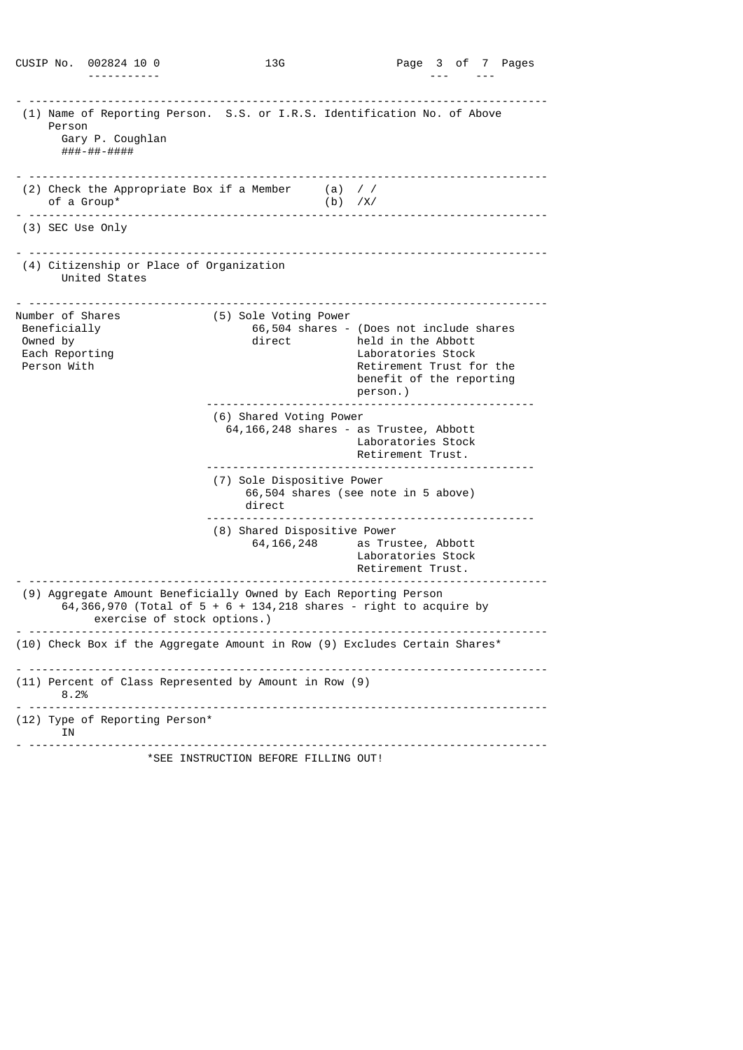|                                                                               | CUSIP No. 002824 10 0                                     | 13G                                                              |                  | Page 3 of 7 Pages                                                                                                                                        |
|-------------------------------------------------------------------------------|-----------------------------------------------------------|------------------------------------------------------------------|------------------|----------------------------------------------------------------------------------------------------------------------------------------------------------|
| Person                                                                        | Gary P. Coughlan<br>###-##-####                           |                                                                  |                  | (1) Name of Reporting Person. S.S. or I.R.S. Identification No. of Above                                                                                 |
| of a Group*                                                                   | (2) Check the Appropriate Box if a Member                 | -------------------------------- <sup>-</sup>                    | (a)<br>$(b)$ /X/ | $\prime$ /                                                                                                                                               |
| <u> - - - - - - - - -</u>                                                     | (3) SEC Use Only                                          |                                                                  |                  |                                                                                                                                                          |
|                                                                               | (4) Citizenship or Place of Organization<br>United States |                                                                  |                  |                                                                                                                                                          |
| Number of Shares<br>Beneficially<br>Owned by<br>Each Reporting<br>Person With |                                                           | (5) Sole Voting Power<br>direct                                  |                  | 66,504 shares - (Does not include shares<br>held in the Abbott<br>Laboratories Stock<br>Retirement Trust for the<br>benefit of the reporting<br>person.) |
|                                                                               |                                                           | (6) Shared Voting Power                                          |                  | 64, 166, 248 shares - as Trustee, Abbott<br>Laboratories Stock<br>Retirement Trust.                                                                      |
|                                                                               |                                                           | (7) Sole Dispositive Power<br>direct                             |                  | 66,504 shares (see note in 5 above)                                                                                                                      |
|                                                                               |                                                           | (8) Shared Dispositive Power<br>64, 166, 248                     |                  | as Trustee, Abbott<br>Laboratories Stock<br>Retirement Trust.                                                                                            |
|                                                                               | exercise of stock options.)                               | (9) Aggregate Amount Beneficially Owned by Each Reporting Person |                  | 64,366,970 (Total of $5 + 6 + 134$ , 218 shares - right to acquire by                                                                                    |
|                                                                               |                                                           |                                                                  |                  | (10) Check Box if the Aggregate Amount in Row (9) Excludes Certain Shares*                                                                               |
| 8.2%                                                                          |                                                           | (11) Percent of Class Represented by Amount in Row (9)           |                  |                                                                                                                                                          |
| ΙN                                                                            | (12) Type of Reporting Person*                            |                                                                  |                  |                                                                                                                                                          |
|                                                                               |                                                           | *SEE INSTRUCTION BEFORE FILLING OUT!                             |                  |                                                                                                                                                          |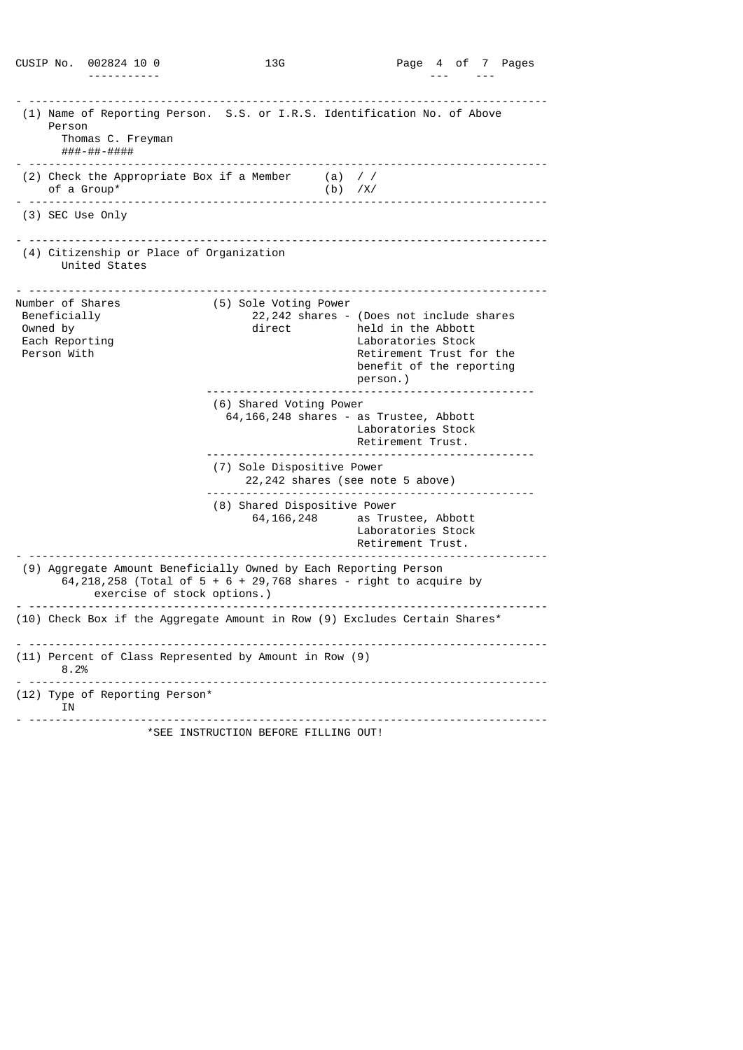|                                                                               |        | CUSIP No. 002824 10 0                                                                              | 13G                        |                         |           | Page 4 of 7 Pages                                                                                                                                        |
|-------------------------------------------------------------------------------|--------|----------------------------------------------------------------------------------------------------|----------------------------|-------------------------|-----------|----------------------------------------------------------------------------------------------------------------------------------------------------------|
|                                                                               |        |                                                                                                    |                            |                         |           |                                                                                                                                                          |
|                                                                               | Person | Thomas C. Freyman<br>###-##-####                                                                   |                            |                         |           | (1) Name of Reporting Person. S.S. or I.R.S. Identification No. of Above                                                                                 |
|                                                                               |        | (2) Check the Appropriate Box if a Member $(1)$ //<br>of a Group*<br>_____________________________ |                            |                         | $(b)$ /X/ |                                                                                                                                                          |
|                                                                               |        | (3) SEC Use Only                                                                                   |                            |                         |           |                                                                                                                                                          |
|                                                                               |        | (4) Citizenship or Place of Organization<br>United States                                          |                            |                         |           |                                                                                                                                                          |
| Number of Shares<br>Beneficially<br>Owned by<br>Each Reporting<br>Person With |        |                                                                                                    | direct                     | (5) Sole Voting Power   |           | 22,242 shares - (Does not include shares<br>held in the Abbott<br>Laboratories Stock<br>Retirement Trust for the<br>benefit of the reporting<br>person.) |
|                                                                               |        |                                                                                                    |                            | (6) Shared Voting Power |           | 64,166,248 shares - as Trustee, Abbott<br>Laboratories Stock<br>Retirement Trust.                                                                        |
|                                                                               |        |                                                                                                    | (7) Sole Dispositive Power |                         |           | 22,242 shares (see note 5 above)                                                                                                                         |
|                                                                               |        |                                                                                                    |                            | 64, 166, 248            |           | (8) Shared Dispositive Power<br>as Trustee, Abbott<br>Laboratories Stock<br>Retirement Trust.                                                            |
|                                                                               |        | (9) Aggregate Amount Beneficially Owned by Each Reporting Person<br>exercise of stock options.)    |                            |                         |           | 64, 218, 258 (Total of $5 + 6 + 29$ , 768 shares - right to acquire by                                                                                   |
|                                                                               |        |                                                                                                    |                            |                         |           | (10) Check Box if the Aggregate Amount in Row (9) Excludes Certain Shares*                                                                               |
|                                                                               | 8.2%   | (11) Percent of Class Represented by Amount in Row (9)                                             |                            |                         |           |                                                                                                                                                          |
|                                                                               | ΙN     | (12) Type of Reporting Person*                                                                     |                            |                         |           |                                                                                                                                                          |
|                                                                               |        | *SEE INSTRUCTION BEFORE FILLING OUT!                                                               |                            |                         |           |                                                                                                                                                          |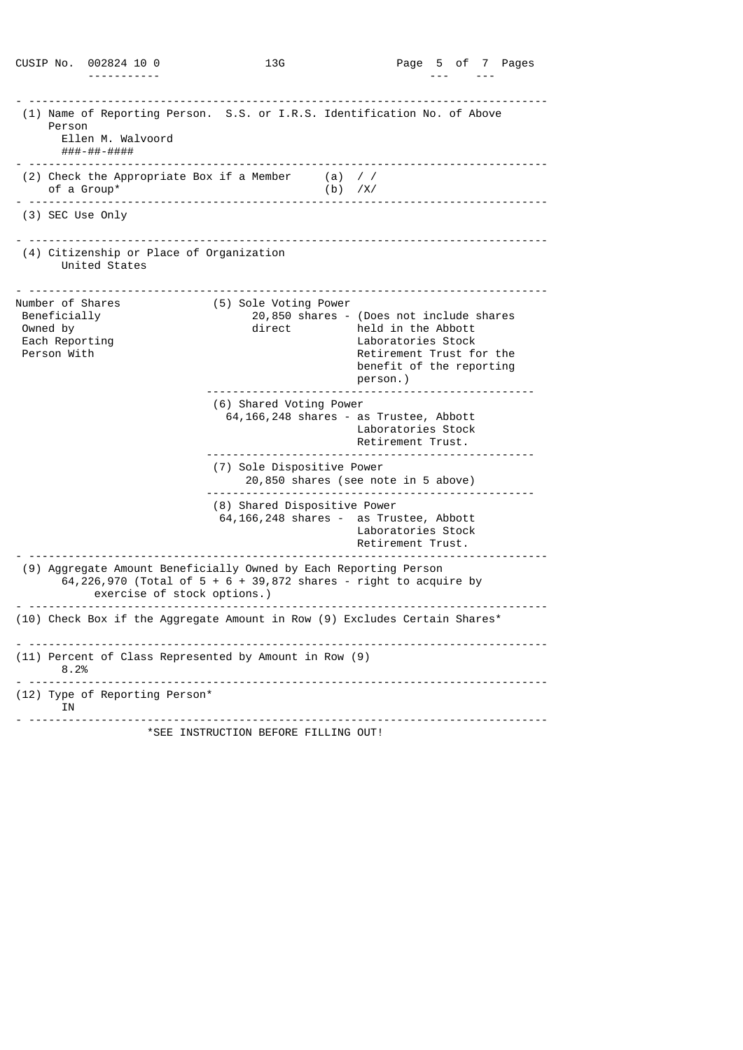|                                                                               | CUSIP No. 002824 10 0                                                                           | 13G                                  |           | Page 5 of 7 Pages                                                                                                                                        |
|-------------------------------------------------------------------------------|-------------------------------------------------------------------------------------------------|--------------------------------------|-----------|----------------------------------------------------------------------------------------------------------------------------------------------------------|
|                                                                               |                                                                                                 |                                      |           |                                                                                                                                                          |
| Person                                                                        | Ellen M. Walvoord<br>###-##-####                                                                |                                      |           | (1) Name of Reporting Person. S.S. or I.R.S. Identification No. of Above<br>.                                                                            |
| of a Group*                                                                   | (2) Check the Appropriate Box if a Member $(a)$ //                                              | ____________________________         | $(b)$ /X/ |                                                                                                                                                          |
|                                                                               | (3) SEC Use Only                                                                                |                                      |           |                                                                                                                                                          |
|                                                                               | (4) Citizenship or Place of Organization<br>United States                                       |                                      |           |                                                                                                                                                          |
| Number of Shares<br>Beneficially<br>Owned by<br>Each Reporting<br>Person With |                                                                                                 | (5) Sole Voting Power<br>direct      |           | 20,850 shares - (Does not include shares<br>held in the Abbott<br>Laboratories Stock<br>Retirement Trust for the<br>benefit of the reporting<br>person.) |
|                                                                               |                                                                                                 | (6) Shared Voting Power              |           | 64,166,248 shares - as Trustee, Abbott<br>Laboratories Stock<br>Retirement Trust.                                                                        |
|                                                                               |                                                                                                 | (7) Sole Dispositive Power           |           | 20,850 shares (see note in 5 above)                                                                                                                      |
|                                                                               |                                                                                                 | (8) Shared Dispositive Power         |           | 64, 166, 248 shares - as Trustee, Abbott<br>Laboratories Stock<br>Retirement Trust.                                                                      |
|                                                                               | (9) Aggregate Amount Beneficially Owned by Each Reporting Person<br>exercise of stock options.) |                                      |           | 64,226,970 (Total of $5 + 6 + 39,872$ shares - right to acquire by                                                                                       |
|                                                                               |                                                                                                 |                                      |           | (10) Check Box if the Aggregate Amount in Row (9) Excludes Certain Shares*                                                                               |
| 8.2%                                                                          | (11) Percent of Class Represented by Amount in Row (9)                                          |                                      |           |                                                                                                                                                          |
| ΙN                                                                            | (12) Type of Reporting Person*                                                                  |                                      |           |                                                                                                                                                          |
|                                                                               |                                                                                                 | *SEE INSTRUCTION BEFORE FILLING OUT! |           |                                                                                                                                                          |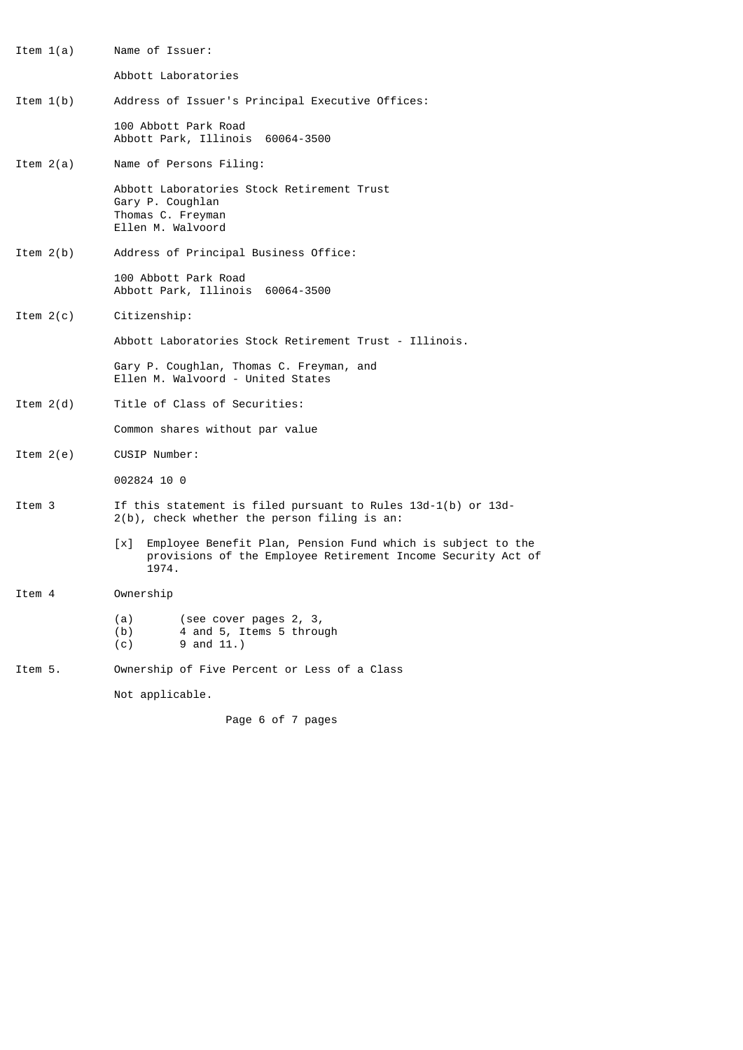- Item 1(a) Name of Issuer: Abbott Laboratories Item 1(b) Address of Issuer's Principal Executive Offices: 100 Abbott Park Road Abbott Park, Illinois 60064-3500 Item 2(a) Name of Persons Filing: Abbott Laboratories Stock Retirement Trust Gary P. Coughlan Thomas C. Freyman Ellen M. Walvoord Item 2(b) Address of Principal Business Office: 100 Abbott Park Road Abbott Park, Illinois 60064-3500 Item 2(c) Citizenship: Abbott Laboratories Stock Retirement Trust - Illinois. Gary P. Coughlan, Thomas C. Freyman, and Ellen M. Walvoord - United States Item 2(d) Title of Class of Securities: Common shares without par value Item 2(e) CUSIP Number: 002824 10 0 Item 3 If this statement is filed pursuant to Rules 13d-1(b) or 13d- 2(b), check whether the person filing is an: [x] Employee Benefit Plan, Pension Fund which is subject to the provisions of the Employee Retirement Income Security Act of .<br>1974. Item 4 Ownership (a) (see cover pages 2, 3,<br>(b) 4 and 5, Items 5 throu 4 and 5, Items 5 through  $(c)$  9 and 11.)
- Item 5. Ownership of Five Percent or Less of a Class

Not applicable.

Page 6 of 7 pages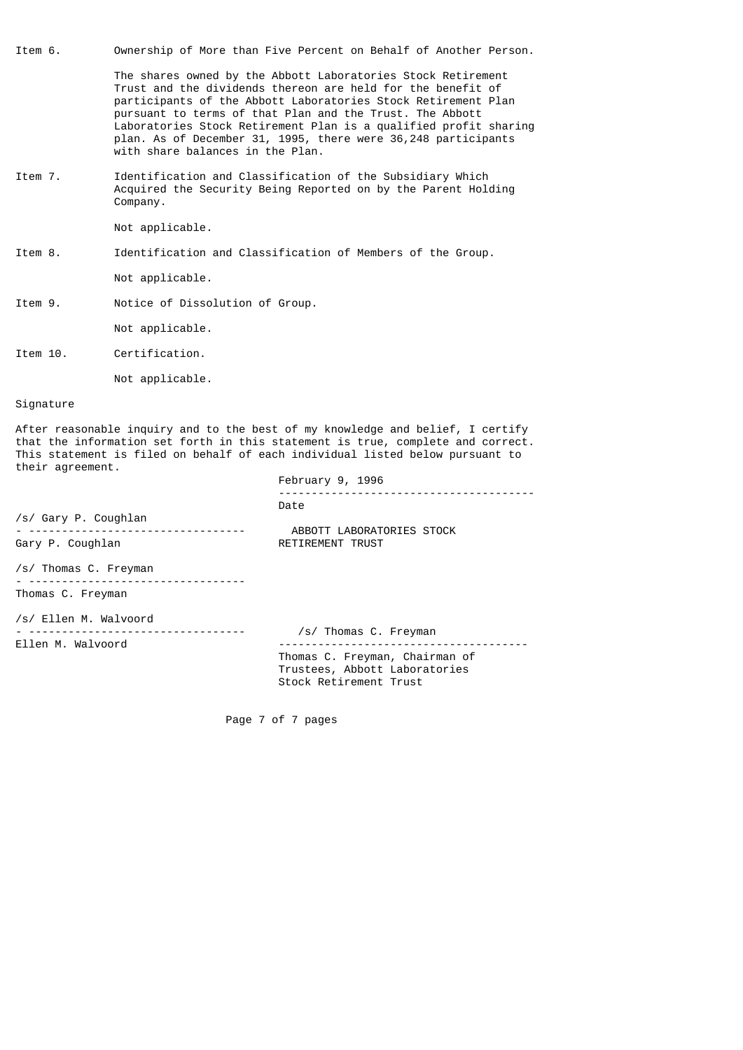- Item 6. Ownership of More than Five Percent on Behalf of Another Person. The shares owned by the Abbott Laboratories Stock Retirement Trust and the dividends thereon are held for the benefit of participants of the Abbott Laboratories Stock Retirement Plan pursuant to terms of that Plan and the Trust. The Abbott Laboratories Stock Retirement Plan is a qualified profit sharing
	- plan. As of December 31, 1995, there were 36,248 participants with share balances in the Plan.
- Item 7. Identification and Classification of the Subsidiary Which Acquired the Security Being Reported on by the Parent Holding Company.

Not applicable.

Item 8. Identification and Classification of Members of the Group.

Not applicable.

Item 9. Notice of Dissolution of Group.

Not applicable.

Item 10. Certification.

Not applicable.

# Signature

After reasonable inquiry and to the best of my knowledge and belief, I certify that the information set forth in this statement is true, complete and correct. This statement is filed on behalf of each individual listed below pursuant to their agreement.

February 9, 1996

| /s/ Gary P. Coughlan<br>Gary P. Coughlan                            | Date<br>ABBOTT LABORATORIES STOCK<br><b>RETIREMENT TRUST</b>                              |  |  |  |
|---------------------------------------------------------------------|-------------------------------------------------------------------------------------------|--|--|--|
| /s/ Thomas C. Freyman<br><u>_ _________________________________</u> |                                                                                           |  |  |  |
| Thomas C. Freyman                                                   |                                                                                           |  |  |  |
| /s/ Ellen M. Walvoord<br>Ellen M. Walvoord                          | /s/ Thomas C. Freyman                                                                     |  |  |  |
|                                                                     | Thomas C. Freyman, Chairman of<br>Trustees, Abbott Laboratories<br>Stock Retirement Trust |  |  |  |
|                                                                     |                                                                                           |  |  |  |

Page 7 of 7 pages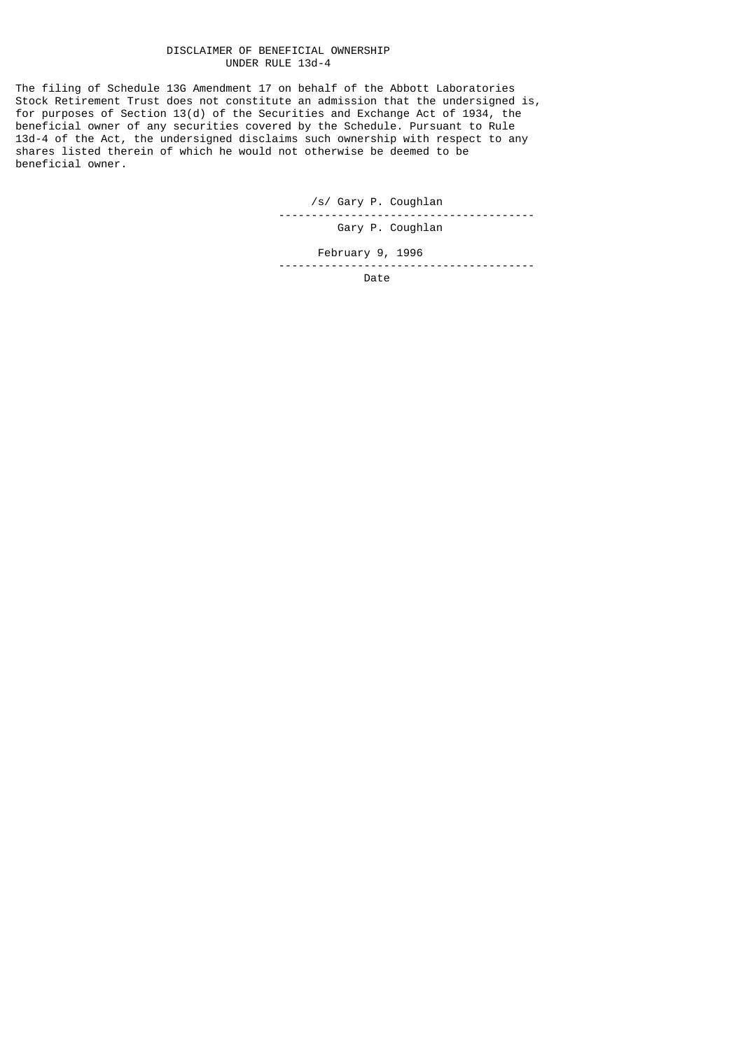### DISCLAIMER OF BENEFICIAL OWNERSHIP UNDER RULE 13d-4

The filing of Schedule 13G Amendment 17 on behalf of the Abbott Laboratories Stock Retirement Trust does not constitute an admission that the undersigned is, for purposes of Section 13(d) of the Securities and Exchange Act of 1934, the beneficial owner of any securities covered by the Schedule. Pursuant to Rule 13d-4 of the Act, the undersigned disclaims such ownership with respect to any shares listed therein of which he would not otherwise be deemed to be beneficial owner.

/s/ Gary P. Coughlan

---------------------------------------

Gary P. Coughlan

February 9, 1996

---------------------------------------

discussion of the contract of the contract of the Date of the Date of the United States of the United States o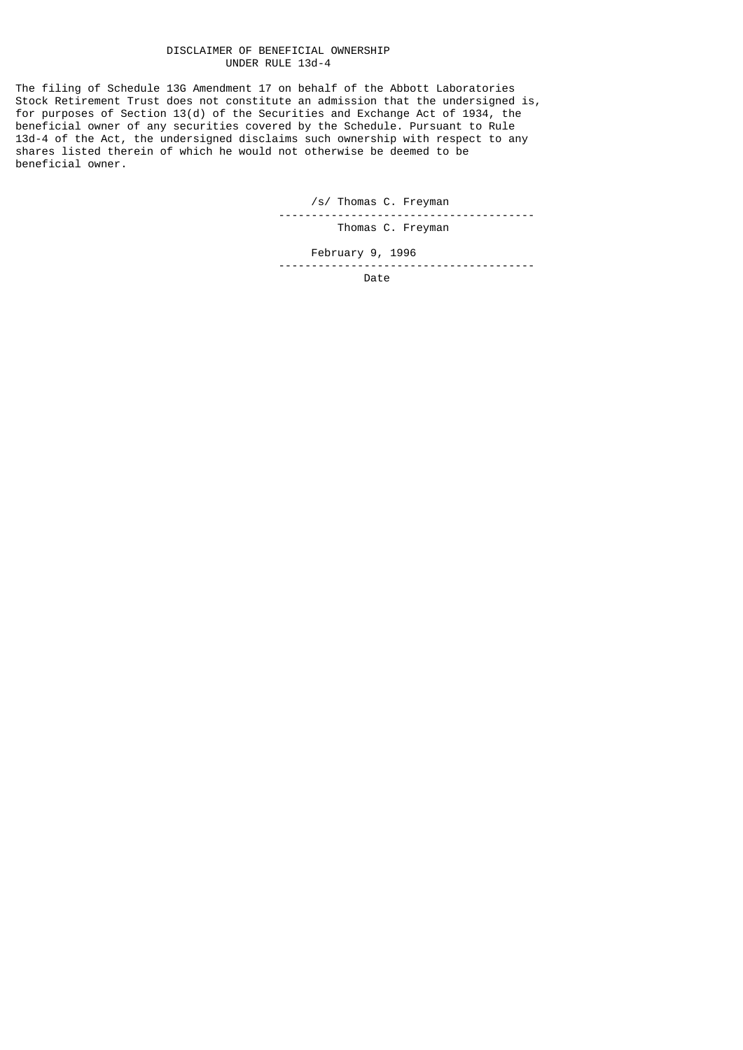## DISCLAIMER OF BENEFICIAL OWNERSHIP UNDER RULE 13d-4

The filing of Schedule 13G Amendment 17 on behalf of the Abbott Laboratories Stock Retirement Trust does not constitute an admission that the undersigned is, for purposes of Section 13(d) of the Securities and Exchange Act of 1934, the beneficial owner of any securities covered by the Schedule. Pursuant to Rule 13d-4 of the Act, the undersigned disclaims such ownership with respect to any shares listed therein of which he would not otherwise be deemed to be beneficial owner.

/s/ Thomas C. Freyman

 --------------------------------------- Thomas C. Freyman

 February 9, 1996 ---------------------------------------

discussion of the contract of the contract of the Date of the Date of the United States of the United States o